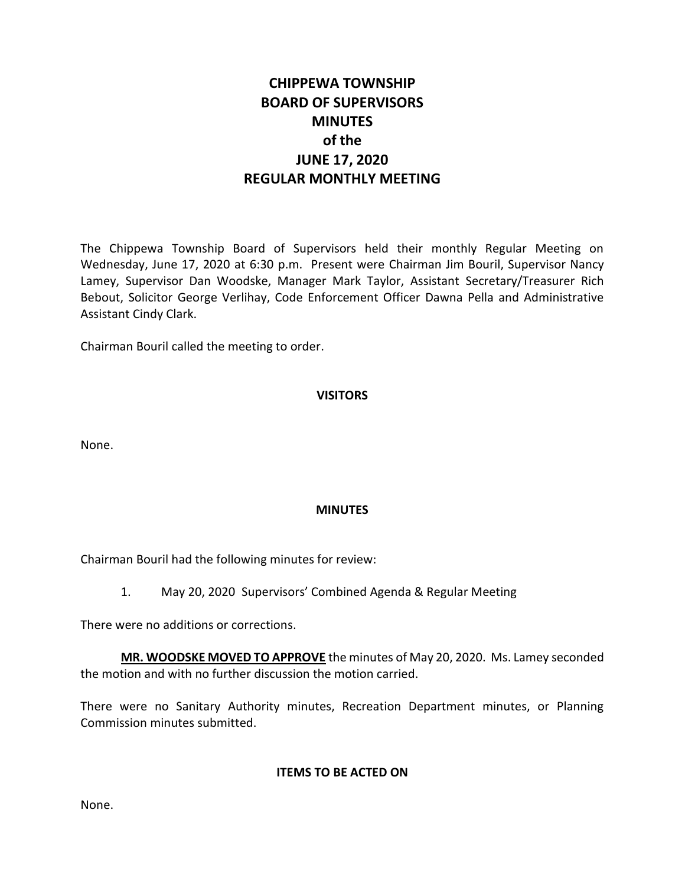# **CHIPPEWA TOWNSHIP BOARD OF SUPERVISORS MINUTES of the JUNE 17, 2020 REGULAR MONTHLY MEETING**

The Chippewa Township Board of Supervisors held their monthly Regular Meeting on Wednesday, June 17, 2020 at 6:30 p.m. Present were Chairman Jim Bouril, Supervisor Nancy Lamey, Supervisor Dan Woodske, Manager Mark Taylor, Assistant Secretary/Treasurer Rich Bebout, Solicitor George Verlihay, Code Enforcement Officer Dawna Pella and Administrative Assistant Cindy Clark.

Chairman Bouril called the meeting to order.

# **VISITORS**

None.

# **MINUTES**

Chairman Bouril had the following minutes for review:

1. May 20, 2020 Supervisors' Combined Agenda & Regular Meeting

There were no additions or corrections.

**MR. WOODSKE MOVED TO APPROVE** the minutes of May 20, 2020. Ms. Lamey seconded the motion and with no further discussion the motion carried.

There were no Sanitary Authority minutes, Recreation Department minutes, or Planning Commission minutes submitted.

**ITEMS TO BE ACTED ON**

None.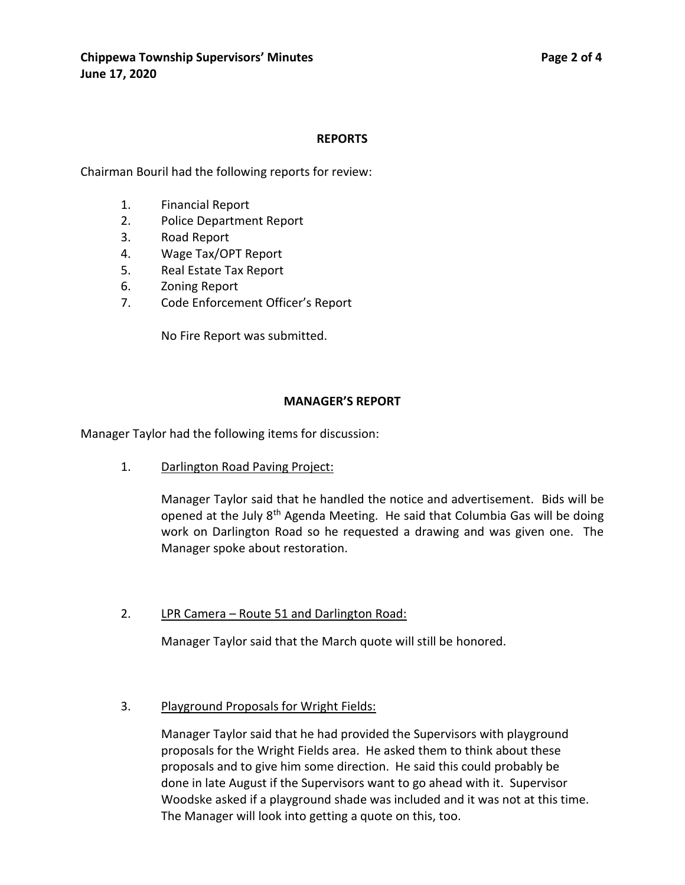#### **REPORTS**

Chairman Bouril had the following reports for review:

- 1. Financial Report
- 2. Police Department Report
- 3. Road Report
- 4. Wage Tax/OPT Report
- 5. Real Estate Tax Report
- 6. Zoning Report
- 7. Code Enforcement Officer's Report

No Fire Report was submitted.

#### **MANAGER'S REPORT**

Manager Taylor had the following items for discussion:

1. Darlington Road Paving Project:

Manager Taylor said that he handled the notice and advertisement. Bids will be opened at the July 8<sup>th</sup> Agenda Meeting. He said that Columbia Gas will be doing work on Darlington Road so he requested a drawing and was given one. The Manager spoke about restoration.

# 2. LPR Camera – Route 51 and Darlington Road:

Manager Taylor said that the March quote will still be honored.

3. Playground Proposals for Wright Fields:

Manager Taylor said that he had provided the Supervisors with playground proposals for the Wright Fields area. He asked them to think about these proposals and to give him some direction. He said this could probably be done in late August if the Supervisors want to go ahead with it. Supervisor Woodske asked if a playground shade was included and it was not at this time. The Manager will look into getting a quote on this, too.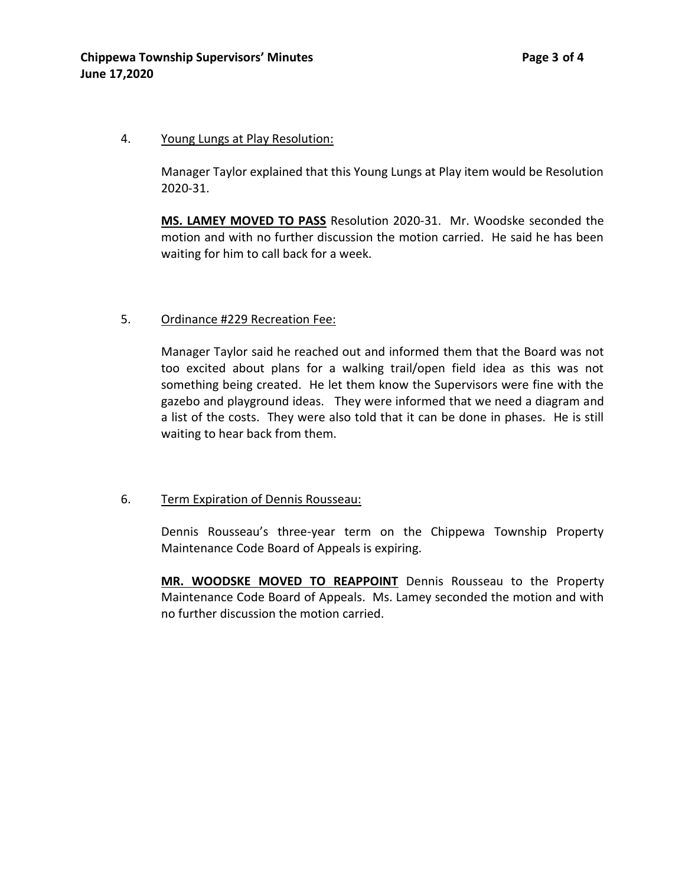#### 4. Young Lungs at Play Resolution:

Manager Taylor explained that this Young Lungs at Play item would be Resolution 2020-31.

**MS. LAMEY MOVED TO PASS** Resolution 2020-31. Mr. Woodske seconded the motion and with no further discussion the motion carried. He said he has been waiting for him to call back for a week.

# 5. Ordinance #229 Recreation Fee:

Manager Taylor said he reached out and informed them that the Board was not too excited about plans for a walking trail/open field idea as this was not something being created. He let them know the Supervisors were fine with the gazebo and playground ideas. They were informed that we need a diagram and a list of the costs. They were also told that it can be done in phases. He is still waiting to hear back from them.

# 6. Term Expiration of Dennis Rousseau:

Dennis Rousseau's three-year term on the Chippewa Township Property Maintenance Code Board of Appeals is expiring.

**MR. WOODSKE MOVED TO REAPPOINT** Dennis Rousseau to the Property Maintenance Code Board of Appeals. Ms. Lamey seconded the motion and with no further discussion the motion carried.